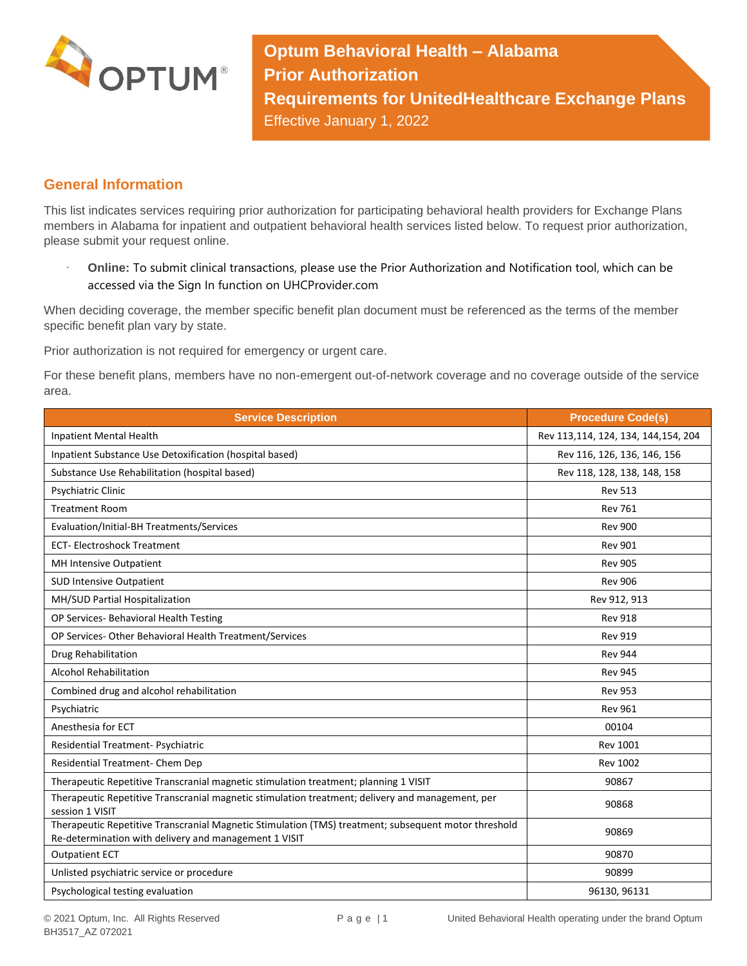

**Optum Behavioral Health – Alabama Prior Authorization Requirements for UnitedHealthcare Exchange Plans** Effective January 1, 2022

## **General Information**

This list indicates services requiring prior authorization for participating behavioral health providers for Exchange Plans members in Alabama for inpatient and outpatient behavioral health services listed below. To request prior authorization, please submit your request online.

 **Online:** To submit clinical transactions, please use the Prior Authorization and Notification tool, which can be accessed via the Sign In function on UHCProvider.com

When deciding coverage, the member specific benefit plan document must be referenced as the terms of the member specific benefit plan vary by state.

Prior authorization is not required for emergency or urgent care.

For these benefit plans, members have no non-emergent out-of-network coverage and no coverage outside of the service area.

| <b>Service Description</b>                                                                                                                                    | <b>Procedure Code(s)</b>            |
|---------------------------------------------------------------------------------------------------------------------------------------------------------------|-------------------------------------|
| <b>Inpatient Mental Health</b>                                                                                                                                | Rev 113,114, 124, 134, 144,154, 204 |
| Inpatient Substance Use Detoxification (hospital based)                                                                                                       | Rev 116, 126, 136, 146, 156         |
| Substance Use Rehabilitation (hospital based)                                                                                                                 | Rev 118, 128, 138, 148, 158         |
| Psychiatric Clinic                                                                                                                                            | <b>Rev 513</b>                      |
| <b>Treatment Room</b>                                                                                                                                         | <b>Rev 761</b>                      |
| Evaluation/Initial-BH Treatments/Services                                                                                                                     | <b>Rev 900</b>                      |
| <b>ECT-Electroshock Treatment</b>                                                                                                                             | <b>Rev 901</b>                      |
| MH Intensive Outpatient                                                                                                                                       | <b>Rev 905</b>                      |
| <b>SUD Intensive Outpatient</b>                                                                                                                               | <b>Rev 906</b>                      |
| MH/SUD Partial Hospitalization                                                                                                                                | Rev 912, 913                        |
| OP Services- Behavioral Health Testing                                                                                                                        | <b>Rev 918</b>                      |
| OP Services- Other Behavioral Health Treatment/Services                                                                                                       | <b>Rev 919</b>                      |
| Drug Rehabilitation                                                                                                                                           | <b>Rev 944</b>                      |
| <b>Alcohol Rehabilitation</b>                                                                                                                                 | <b>Rev 945</b>                      |
| Combined drug and alcohol rehabilitation                                                                                                                      | <b>Rev 953</b>                      |
| Psychiatric                                                                                                                                                   | <b>Rev 961</b>                      |
| Anesthesia for ECT                                                                                                                                            | 00104                               |
| Residential Treatment- Psychiatric                                                                                                                            | <b>Rev 1001</b>                     |
| Residential Treatment- Chem Dep                                                                                                                               | <b>Rev 1002</b>                     |
| Therapeutic Repetitive Transcranial magnetic stimulation treatment; planning 1 VISIT                                                                          | 90867                               |
| Therapeutic Repetitive Transcranial magnetic stimulation treatment; delivery and management, per<br>session 1 VISIT                                           | 90868                               |
| Therapeutic Repetitive Transcranial Magnetic Stimulation (TMS) treatment; subsequent motor threshold<br>Re-determination with delivery and management 1 VISIT | 90869                               |
| <b>Outpatient ECT</b>                                                                                                                                         | 90870                               |
| Unlisted psychiatric service or procedure                                                                                                                     | 90899                               |
| Psychological testing evaluation                                                                                                                              | 96130, 96131                        |